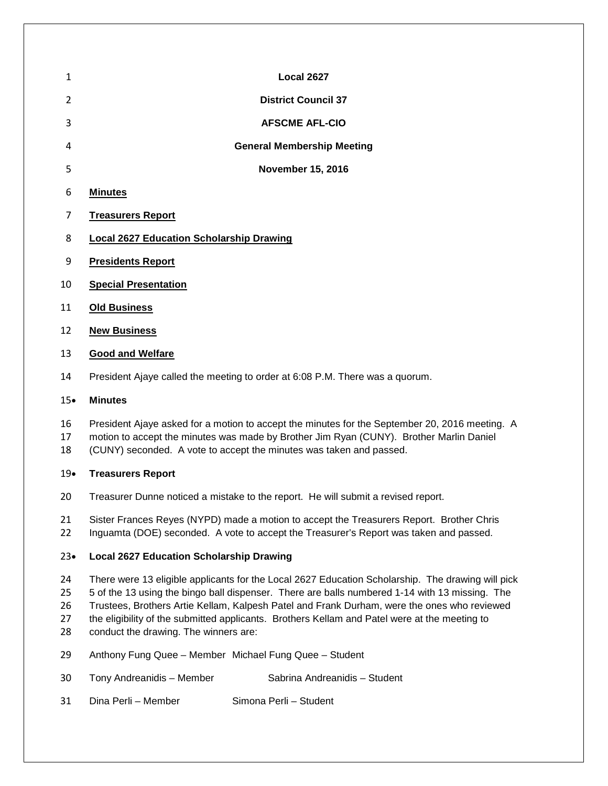- **Local 2627 District Council 37 AFSCME AFL-CIO General Membership Meeting November 15, 2016 Minutes Treasurers Report Local 2627 Education Scholarship Drawing Presidents Report Special Presentation**
- **Old Business**
- **New Business**

#### **Good and Welfare**

President Ajaye called the meeting to order at 6:08 P.M. There was a quorum.

#### • **Minutes**

- President Ajaye asked for a motion to accept the minutes for the September 20, 2016 meeting. A
- motion to accept the minutes was made by Brother Jim Ryan (CUNY). Brother Marlin Daniel
- (CUNY) seconded. A vote to accept the minutes was taken and passed.

# • **Treasurers Report**

- Treasurer Dunne noticed a mistake to the report. He will submit a revised report.
- Sister Frances Reyes (NYPD) made a motion to accept the Treasurers Report. Brother Chris Inguamta (DOE) seconded. A vote to accept the Treasurer's Report was taken and passed.

# • **Local 2627 Education Scholarship Drawing**

- There were 13 eligible applicants for the Local 2627 Education Scholarship. The drawing will pick
- 5 of the 13 using the bingo ball dispenser. There are balls numbered 1-14 with 13 missing. The
- Trustees, Brothers Artie Kellam, Kalpesh Patel and Frank Durham, were the ones who reviewed
- the eligibility of the submitted applicants. Brothers Kellam and Patel were at the meeting to conduct the drawing. The winners are:
- 
- Anthony Fung Quee Member Michael Fung Quee Student
- Tony Andreanidis Member Sabrina Andreanidis Student
- Dina Perli Member Simona Perli Student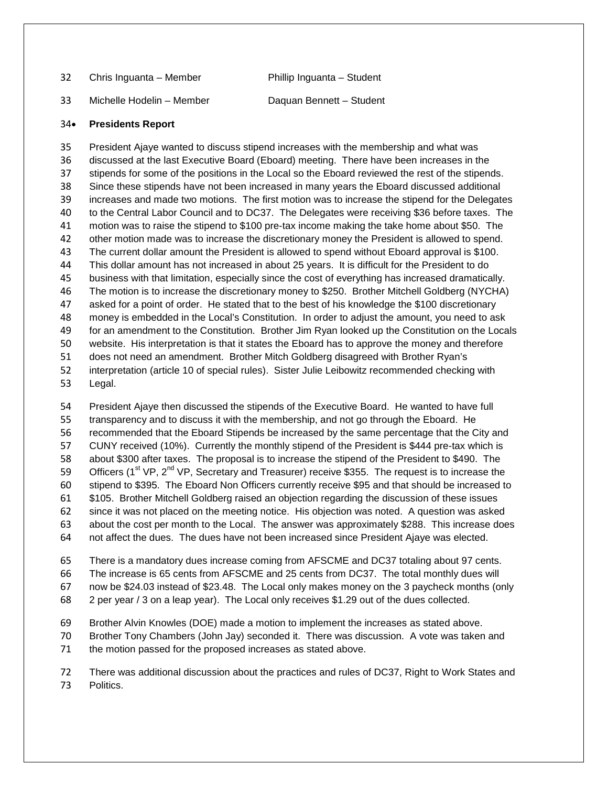| 32 | Chris Inguanta – Member   | Phillip Inguanta - Student |
|----|---------------------------|----------------------------|
| 33 | Michelle Hodelin - Member | Daguan Bennett - Student   |

#### • **Presidents Report**

 President Ajaye wanted to discuss stipend increases with the membership and what was discussed at the last Executive Board (Eboard) meeting. There have been increases in the stipends for some of the positions in the Local so the Eboard reviewed the rest of the stipends. Since these stipends have not been increased in many years the Eboard discussed additional increases and made two motions. The first motion was to increase the stipend for the Delegates to the Central Labor Council and to DC37. The Delegates were receiving \$36 before taxes. The motion was to raise the stipend to \$100 pre-tax income making the take home about \$50. The other motion made was to increase the discretionary money the President is allowed to spend. The current dollar amount the President is allowed to spend without Eboard approval is \$100. This dollar amount has not increased in about 25 years. It is difficult for the President to do business with that limitation, especially since the cost of everything has increased dramatically. The motion is to increase the discretionary money to \$250. Brother Mitchell Goldberg (NYCHA) asked for a point of order. He stated that to the best of his knowledge the \$100 discretionary money is embedded in the Local's Constitution. In order to adjust the amount, you need to ask for an amendment to the Constitution. Brother Jim Ryan looked up the Constitution on the Locals website. His interpretation is that it states the Eboard has to approve the money and therefore does not need an amendment. Brother Mitch Goldberg disagreed with Brother Ryan's interpretation (article 10 of special rules). Sister Julie Leibowitz recommended checking with Legal.

 President Ajaye then discussed the stipends of the Executive Board. He wanted to have full transparency and to discuss it with the membership, and not go through the Eboard. He recommended that the Eboard Stipends be increased by the same percentage that the City and CUNY received (10%). Currently the monthly stipend of the President is \$444 pre-tax which is about \$300 after taxes. The proposal is to increase the stipend of the President to \$490. The 59 Officers ( $1^{st}$  VP,  $2^{nd}$  VP, Secretary and Treasurer) receive \$355. The request is to increase the stipend to \$395. The Eboard Non Officers currently receive \$95 and that should be increased to \$105. Brother Mitchell Goldberg raised an objection regarding the discussion of these issues since it was not placed on the meeting notice. His objection was noted. A question was asked about the cost per month to the Local. The answer was approximately \$288. This increase does not affect the dues. The dues have not been increased since President Ajaye was elected.

 There is a mandatory dues increase coming from AFSCME and DC37 totaling about 97 cents. The increase is 65 cents from AFSCME and 25 cents from DC37. The total monthly dues will now be \$24.03 instead of \$23.48. The Local only makes money on the 3 paycheck months (only

2 per year / 3 on a leap year). The Local only receives \$1.29 out of the dues collected.

Brother Alvin Knowles (DOE) made a motion to implement the increases as stated above.

 Brother Tony Chambers (John Jay) seconded it. There was discussion. A vote was taken and the motion passed for the proposed increases as stated above.

 There was additional discussion about the practices and rules of DC37, Right to Work States and Politics.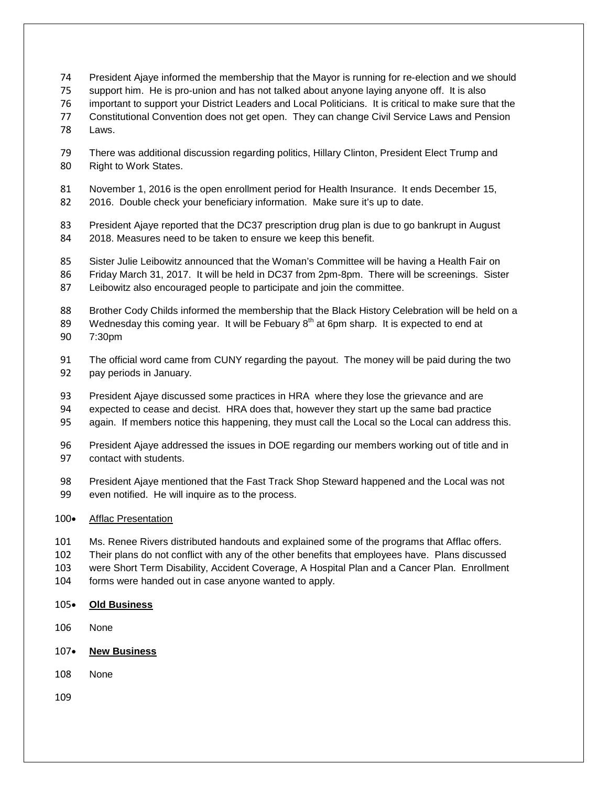- President Ajaye informed the membership that the Mayor is running for re-election and we should
- support him. He is pro-union and has not talked about anyone laying anyone off. It is also
- important to support your District Leaders and Local Politicians. It is critical to make sure that the
- Constitutional Convention does not get open. They can change Civil Service Laws and Pension
- Laws.
- There was additional discussion regarding politics, Hillary Clinton, President Elect Trump and Right to Work States.
- November 1, 2016 is the open enrollment period for Health Insurance. It ends December 15,
- 2016. Double check your beneficiary information. Make sure it's up to date.
- President Ajaye reported that the DC37 prescription drug plan is due to go bankrupt in August 2018. Measures need to be taken to ensure we keep this benefit.
- Sister Julie Leibowitz announced that the Woman's Committee will be having a Health Fair on
- Friday March 31, 2017. It will be held in DC37 from 2pm-8pm. There will be screenings. Sister
- Leibowitz also encouraged people to participate and join the committee.
- 88 Brother Cody Childs informed the membership that the Black History Celebration will be held on a
- 89 Wednesday this coming year. It will be Febuary  $8<sup>th</sup>$  at 6pm sharp. It is expected to end at
- 7:30pm
- The official word came from CUNY regarding the payout. The money will be paid during the two pay periods in January.
- President Ajaye discussed some practices in HRA where they lose the grievance and are
- expected to cease and decist. HRA does that, however they start up the same bad practice
- again. If members notice this happening, they must call the Local so the Local can address this.
- President Ajaye addressed the issues in DOE regarding our members working out of title and in contact with students.
- President Ajaye mentioned that the Fast Track Shop Steward happened and the Local was not even notified. He will inquire as to the process.

# • Afflac Presentation

- Ms. Renee Rivers distributed handouts and explained some of the programs that Afflac offers.
- Their plans do not conflict with any of the other benefits that employees have. Plans discussed
- were Short Term Disability, Accident Coverage, A Hospital Plan and a Cancer Plan. Enrollment
- forms were handed out in case anyone wanted to apply.
- **Old Business**
- None
- **New Business**
- None